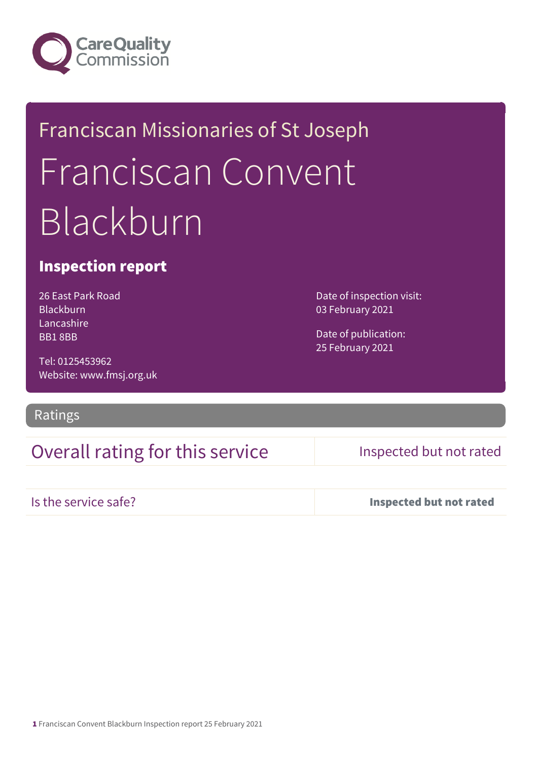

# Franciscan Missionaries of St Joseph Franciscan Convent Blackburn

#### Inspection report

26 East Park Road Blackburn Lancashire BB1 8BB

Date of inspection visit: 03 February 2021

Date of publication: 25 February 2021

Tel: 0125453962 Website: www.fmsj.org.uk

#### Ratings

### Overall rating for this service Inspected but not rated

Is the service safe? Inspected but not rated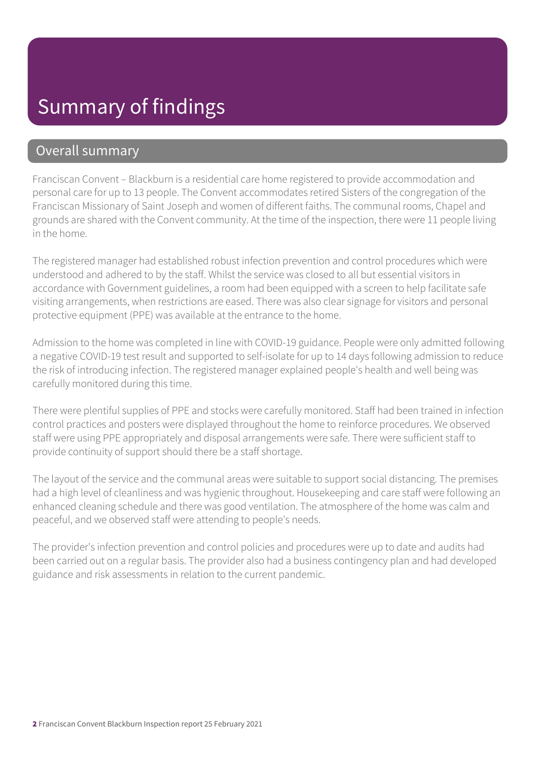## Summary of findings

#### Overall summary

Franciscan Convent – Blackburn is a residential care home registered to provide accommodation and personal care for up to 13 people. The Convent accommodates retired Sisters of the congregation of the Franciscan Missionary of Saint Joseph and women of different faiths. The communal rooms, Chapel and grounds are shared with the Convent community. At the time of the inspection, there were 11 people living in the home.

The registered manager had established robust infection prevention and control procedures which were understood and adhered to by the staff. Whilst the service was closed to all but essential visitors in accordance with Government guidelines, a room had been equipped with a screen to help facilitate safe visiting arrangements, when restrictions are eased. There was also clear signage for visitors and personal protective equipment (PPE) was available at the entrance to the home.

Admission to the home was completed in line with COVID-19 guidance. People were only admitted following a negative COVID-19 test result and supported to self-isolate for up to 14 days following admission to reduce the risk of introducing infection. The registered manager explained people's health and well being was carefully monitored during this time.

There were plentiful supplies of PPE and stocks were carefully monitored. Staff had been trained in infection control practices and posters were displayed throughout the home to reinforce procedures. We observed staff were using PPE appropriately and disposal arrangements were safe. There were sufficient staff to provide continuity of support should there be a staff shortage.

The layout of the service and the communal areas were suitable to support social distancing. The premises had a high level of cleanliness and was hygienic throughout. Housekeeping and care staff were following an enhanced cleaning schedule and there was good ventilation. The atmosphere of the home was calm and peaceful, and we observed staff were attending to people's needs.

The provider's infection prevention and control policies and procedures were up to date and audits had been carried out on a regular basis. The provider also had a business contingency plan and had developed guidance and risk assessments in relation to the current pandemic.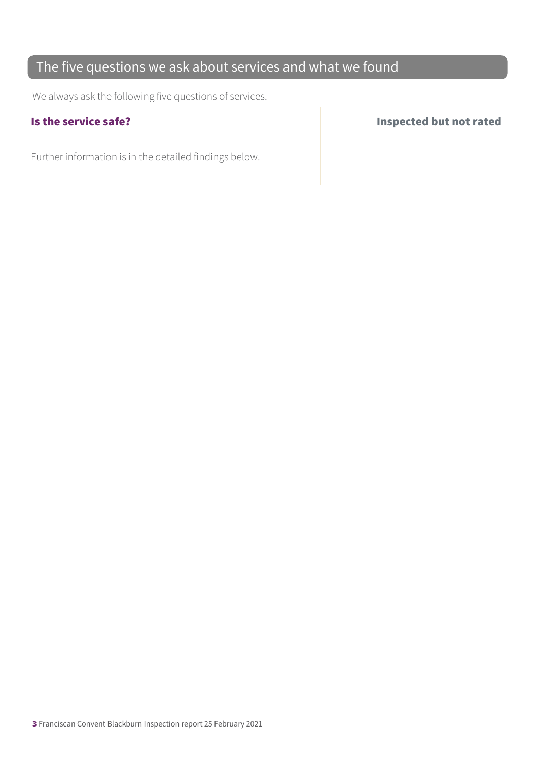#### The five questions we ask about services and what we found

We always ask the following five questions of services.

Further information is in the detailed findings below.

Is the service safe? Inspected but not rated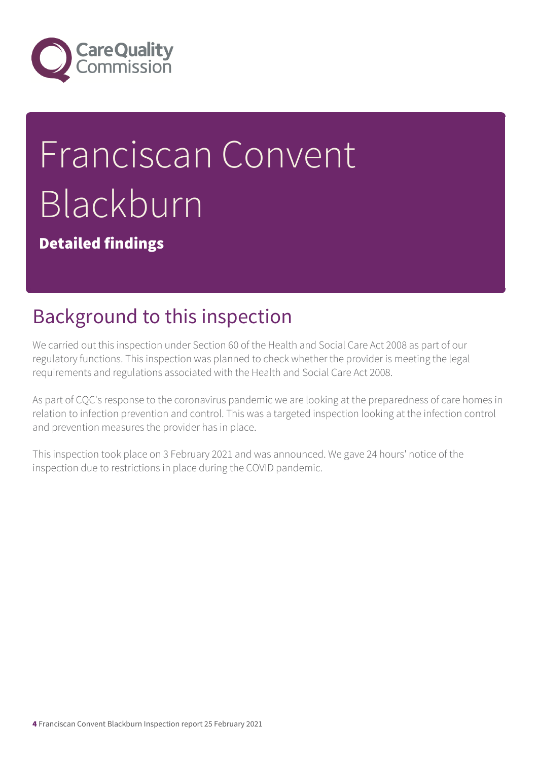

# Franciscan Convent Blackburn

Detailed findings

# Background to this inspection

We carried out this inspection under Section 60 of the Health and Social Care Act 2008 as part of our regulatory functions. This inspection was planned to check whether the provider is meeting the legal requirements and regulations associated with the Health and Social Care Act 2008.

As part of CQC's response to the coronavirus pandemic we are looking at the preparedness of care homes in relation to infection prevention and control. This was a targeted inspection looking at the infection control and prevention measures the provider has in place.

This inspection took place on 3 February 2021 and was announced. We gave 24 hours' notice of the inspection due to restrictions in place during the COVID pandemic.